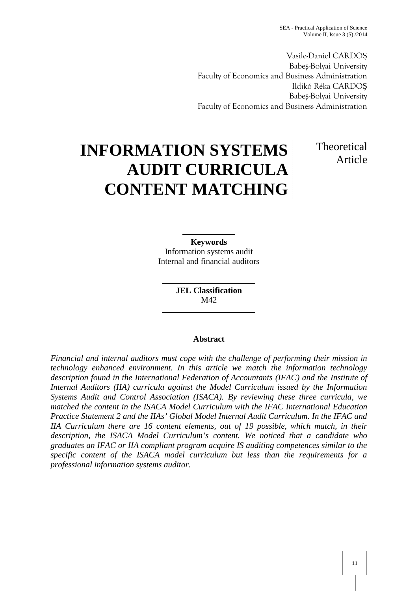Vasile-Daniel CARDO Babe -Bolyai University Faculty of Economics and Business Administration Ildikó Réka CARDO Babe -Bolyai University Faculty of Economics and Business Administration

# **INFORMATION SYSTEMS AUDIT CURRICULA CONTENT MATCHING**

## Theoretical Article

**Keywords** Information systems audit Internal and financial auditors

> **JEL Classification** M42

### **Abstract**

*Financial and internal auditors must cope with the challenge of performing their mission in technology enhanced environment. In this article we match the information technology description found in the International Federation of Accountants (IFAC) and the Institute of Internal Auditors (IIA) curricula against the Model Curriculum issued by the Information Systems Audit and Control Association (ISACA). By reviewing these three curricula, we matched the content in the ISACA Model Curriculum with the IFAC International Education Practice Statement 2 and the IIAs' Global Model Internal Audit Curriculum. In the IFAC and IIA Curriculum there are 16 content elements, out of 19 possible, which match, in their description, the ISACA Model Curriculum's content. We noticed that a candidate who graduates an IFAC or IIA compliant program acquire IS auditing competences similar to the specific content of the ISACA model curriculum but less than the requirements for a professional information systems auditor.*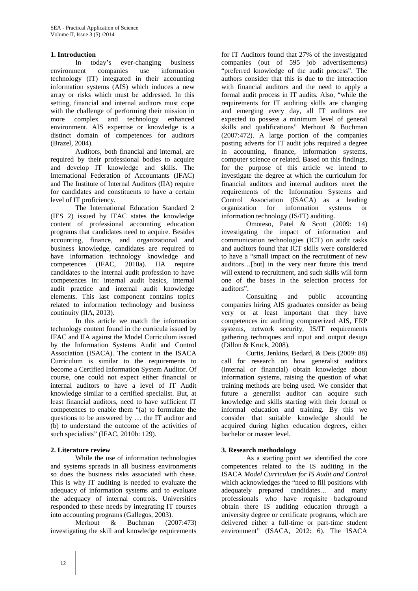#### **1. Introduction**

In today's ever-changing business environment companies use information technology (IT) integrated in their accounting information systems (AIS) which induces a new array or risks which must be addressed. In this setting, financial and internal auditors must cope with the challenge of performing their mission in more complex and technology enhanced environment. AIS expertise or knowledge is a distinct domain of competences for auditors (Brazel, 2004).

Auditors, both financial and internal, are required by their professional bodies to acquire and develop IT knowledge and skills. The International Federation of Accountants (IFAC) and The Institute of Internal Auditors (IIA) require for candidates and constituents to have a certain level of IT proficiency.

The International Education Standard 2 (IES 2) issued by IFAC states the knowledge content of professional accounting education programs that candidates need to acquire. Besides accounting, finance, and organizational and business knowledge, candidates are required to have information technology knowledge and competences (IFAC, 2010a). IIA require candidates to the internal audit profession to have competences in: internal audit basics, internal audit practice and internal audit knowledge elements. This last component contains topics related to information technology and business continuity (IIA, 2013).

In this article we match the information technology content found in the curricula issued by IFAC and IIA against the Model Curriculum issued by the Information Systems Audit and Control Association (ISACA). The content in the ISACA Curriculum is similar to the requirements to become a Certified Information System Auditor. Of course, one could not expect either financial or internal auditors to have a level of IT Audit knowledge similar to a certified specialist. But, at least financial auditors, need to have sufficient IT competences to enable them "(a) to formulate the questions to be answered by … the IT auditor and (b) to understand the outcome of the activities of such specialists" (IFAC, 2010b: 129).

### **2. Literature review**

While the use of information technologies and systems spreads in all business environments so does the business risks associated with these. This is why IT auditing is needed to evaluate the adequacy of information systems and to evaluate the adequacy of internal controls. Universities responded to these needs by integrating IT courses into accounting programs (Gallegos, 2003).

Merhout & Buchman (2007:473) investigating the skill and knowledge requirements

for IT Auditors found that 27% of the investigated companies (out of 595 job advertisements) "preferred knowledge of the audit process". The authors consider that this is due to the interaction with financial auditors and the need to apply a formal audit process in IT audits. Also, "while the requirements for IT auditing skills are changing and emerging every day, all IT auditors are expected to possess a minimum level of general skills and qualifications" Merhout & Buchman (2007:472). A large portion of the companies posting adverts for IT audit jobs required a degree in accounting, finance, information systems, computer science or related. Based on this findings, for the purpose of this article we intend to investigate the degree at which the curriculum for financial auditors and internal auditors meet the requirements of the Information Systems and Control Association (ISACA) as a leading organization for information systems or information technology (IS/IT) auditing.

Omoteso, Patel & Scott (2009: 14) investigating the impact of information and communication technologies (ICT) on audit tasks and auditors found that ICT skills were considered to have a "small impact on the recruitment of new auditors…[but] in the very near future this trend will extend to recruitment, and such skills will form one of the bases in the selection process for auditors".

Consulting and public accounting companies hiring AIS graduates consider as being very or at least important that they have competences in: auditing computerized AIS, ERP systems, network security, IS/IT requirements gathering techniques and input and output design (Dillon & Kruck, 2008).

Curtis, Jenkins, Bedard, & Deis (2009: 88) call for research on how generalist auditors (internal or financial) obtain knowledge about information systems, raising the question of what training methods are being used. We consider that future a generalist auditor can acquire such knowledge and skills starting with their formal or informal education and training. By this we consider that suitable knowledge should be acquired during higher education degrees, either bachelor or master level.

### **3. Research methodology**

As a starting point we identified the core competences related to the IS auditing in the ISACA *Model Curriculum for IS Audit and Control* which acknowledges the "need to fill positions with adequately prepared candidates… and many professionals who have requisite background obtain there IS auditing education through a university degree or certificate programs, which are delivered either a full-time or part-time student environment" (ISACA, 2012: 6). The ISACA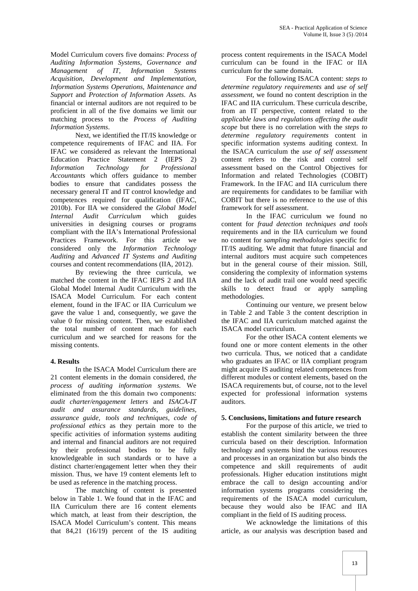Model Curriculum covers five domains: *Process of Auditing Information Systems*, *Governance and Management of IT, Information Systems Acquisition, Development and Implementation, Information Systems Operations, Maintenance and Support* and *Protection of Information Assets*. As financial or internal auditors are not required to be proficient in all of the five domains we limit our matching process to the *Process of Auditing Information Systems*.

Next, we identified the IT/IS knowledge or competence requirements of IFAC and IIA. For IFAC we considered as relevant the International Education Practice Statement 2 (IEPS 2) *Information Technology for Professional Accountants* which offers guidance to member bodies to ensure that candidates possess the necessary general IT and IT control knowledge and competences required for qualification (IFAC, 2010b). For IIA we considered the *Global Model Internal Audit Curriculum* which guides universities in designing courses or programs compliant with the IIA's International Professional Practices Framework. For this article we considered only the *Information Technology Auditing* and *Advanced IT Systems and Auditing* courses and content recommendations (IIA, 2012).

By reviewing the three curricula, we matched the content in the IFAC IEPS 2 and IIA Global Model Internal Audit Curriculum with the ISACA Model Curriculum. For each content element, found in the IFAC or IIA Curriculum we gave the value 1 and, consequently, we gave the value 0 for missing content. Then, we established the total number of content mach for each curriculum and we searched for reasons for the missing contents.

### **4. Results**

In the ISACA Model Curriculum there are 21 content elements in the domain considered, *the process of auditing information systems*. We eliminated from the this domain two components: *audit charter/engagement letters* and *ISACA-IT audit and assurance standards, guidelines, assurance guide, tools and techniques, code of professional ethics* as they pertain more to the specific activities of information systems auditing and internal and financial auditors are not required by their professional bodies to be fully knowledgeable in such standards or to have a distinct charter/engagement letter when they their mission. Thus, we have 19 content elements left to be used as reference in the matching process.

The matching of content is presented below in Table 1. We found that in the IFAC and IIA Curriculum there are 16 content elements which match, at least from their description, the ISACA Model Curriculum's content. This means that 84,21 (16/19) percent of the IS auditing

process content requirements in the ISACA Model curriculum can be found in the IFAC or IIA curriculum for the same domain.

For the following ISACA content: *steps to determine regulatory requirements* and *use of self assessment,* we found no content description in the IFAC and IIA curriculum. These curricula describe, from an IT perspective, content related to the *applicable laws and regulations affecting the audit scope* but there is no correlation with the *steps to determine regulatory requirements* content in specific information systems auditing context. In the ISACA curriculum the *use of self assessment* content refers to the risk and control self assessment based on the Control Objectives for Information and related Technologies (COBIT) Framework. In the IFAC and IIA curriculum there are requirements for candidates to be familiar with COBIT but there is no reference to the use of this framework for self assessment.

In the IFAC curriculum we found no content for *fraud detection techniques and tools* requirements and in the IIA curriculum we found no content for *sampling methodologies* specific for IT/IS auditing. We admit that future financial and internal auditors must acquire such competences but in the general course of their mission. Still, considering the complexity of information systems and the lack of audit trail one would need specific skills to detect fraud or apply sampling methodologies.

Continuing our venture, we present below in Table 2 and Table 3 the content description in the IFAC and IIA curriculum matched against the ISACA model curriculum.

For the other ISACA content elements we found one or more content elements in the other two curricula. Thus, we noticed that a candidate who graduates an IFAC or IIA compliant program might acquire IS auditing related competences from different modules or content elements, based on the ISACA requirements but, of course, not to the level expected for professional information systems auditors.

### **5. Conclusions, limitations and future research**

For the purpose of this article, we tried to establish the content similarity between the three curricula based on their description. Information technology and systems bind the various resources and processes in an organization but also binds the competence and skill requirements of audit professionals. Higher education institutions might embrace the call to design accounting and/or information systems programs considering the requirements of the ISACA model curriculum, because they would also be IFAC and IIA compliant in the field of IS auditing process.

We acknowledge the limitations of this article, as our analysis was description based and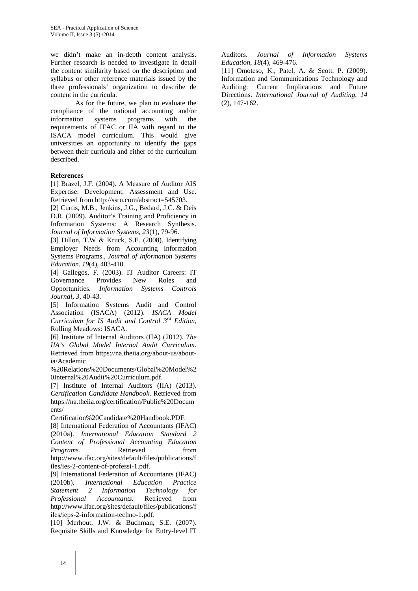we didn't make an in-depth content analysis. Further research is needed to investigate in detail the content similarity based on the description and syllabus or other reference materials issued by the three professionals' organization to describe de content in the curricula.

As for the future, we plan to evaluate the compliance of the national accounting and/or<br>information systems programs with the information systems programs with the requirements of IFAC or IIA with regard to the ISACA model curriculum. This would give universities an opportunity to identify the gaps between their curricula and either of the curriculum described.

#### **References**

[1] Brazel, J.F. (2004). A Measure of Auditor AIS Expertise: Development, Assessment and Use. Retrieved from http://ssrn.com/abstract=545703.

[2] Curtis, M.B., Jenkins, J.G., Bedard, J.C. & Deis D.R. (2009). Auditor's Training and Proficiency in Information Systems: A Research Synthesis. *Journal of Information Systems*, *23*(1), 79-96.

[3] Dillon, T.W & Kruck, S.E. (2008). Identifying Employer Needs from Accounting Information Systems Programs., *Journal of Information Systems Education. 19*(4), 403-410.

[4] Gallegos, F. (2003). IT Auditor Careers: IT Governance Provides New Roles and Opportunities. *Information Systems Controls Journal*, *3*, 40-43.

[5] Information Systems Audit and Control Association (ISACA) (2012). *ISACA Model Curriculum for IS Audit and Control 3rd Edition*, Rolling Meadows: ISACA.

[6] Institute of Internal Auditors (IIA) (2012). *The IIA's Global Model Internal Audit Curriculum*. Retrieved from https://na.theiia.org/about-us/aboutia/Academic

%20Relations%20Documents/Global%20Model%2 0Internal%20Audit%20Curriculum.pdf.

[7] Institute of Internal Auditors (IIA) (2013). *Certification Candidate Handbook*. Retrieved from https://na.theiia.org/certification/Public%20Docum ents/

Certification%20Candidate%20Handbook.PDF.

[8] International Federation of Accountants (IFAC) (2010a). *International Education Standard 2 Content of Professional Accounting Education Programs.* Retrieved from http://www.ifac.org/sites/default/files/publications/f iles/ies-2-content-of-professi-1.pdf.

[9] International Federation of Accountants (IFAC) (2010b). *International Education Practice Statement 2 Information Technology for Professional Accountants.* Retrieved from http://www.ifac.org/sites/default/files/publications/f iles/ieps-2-information-techno-1.pdf.

[10] Merhout, J.W. & Buchman, S.E. (2007). Requisite Skills and Knowledge for Entry-level IT Auditors. *Journal of Information Systems Education*, *18*(4), 469-476.

[11] Omoteso, K., Patel, A. & Scott, P. (2009). Information and Communications Technology and Auditing: Current Implications and Future Directions. *International Journal of Auditing*, *14* (2), 147-162.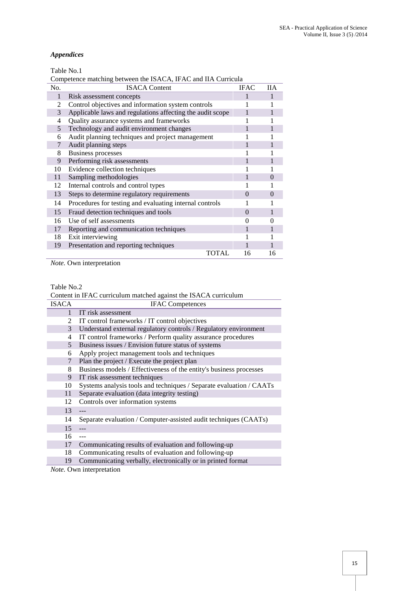### *Appendices*

Table No.1

|  | Competence matching between the ISACA, IFAC and IIA Curricula |  |
|--|---------------------------------------------------------------|--|
|--|---------------------------------------------------------------|--|

| No. | <b>ISACA Content</b>                                      | <b>IFAC</b> | HА       |
|-----|-----------------------------------------------------------|-------------|----------|
| 1   | Risk assessment concepts                                  |             |          |
| 2   | Control objectives and information system controls        |             |          |
| 3   | Applicable laws and regulations affecting the audit scope |             |          |
| 4   | Quality assurance systems and frameworks                  |             |          |
| 5   | Technology and audit environment changes                  |             |          |
| 6   | Audit planning techniques and project management          |             |          |
| 7   | Audit planning steps                                      |             |          |
| 8   | <b>Business processes</b>                                 |             |          |
| 9   | Performing risk assessments                               |             |          |
| 10  | Evidence collection techniques                            |             |          |
| 11  | Sampling methodologies                                    |             | $\theta$ |
| 12  | Internal controls and control types                       |             |          |
| 13  | Steps to determine regulatory requirements                | 0           | 0        |
| 14  | Procedures for testing and evaluating internal controls   |             |          |
| 15  | Fraud detection techniques and tools                      | $\Omega$    |          |
| 16  | Use of self assessments                                   |             |          |
| 17  | Reporting and communication techniques                    |             |          |
| 18  | Exit interviewing                                         |             |          |
| 19  | Presentation and reporting techniques                     |             |          |
|     | TOTAL                                                     | 16          | 16       |

*Note.* Own interpretation

#### Table No.2

| Content in IFAC curriculum matched against the ISACA curriculum |                                                                     |  |  |
|-----------------------------------------------------------------|---------------------------------------------------------------------|--|--|
| <b>ISACA</b>                                                    | <b>IFAC Competences</b>                                             |  |  |
| 1                                                               | IT risk assessment                                                  |  |  |
| 2                                                               | IT control frameworks / IT control objectives                       |  |  |
| 3                                                               | Understand external regulatory controls / Regulatory environment    |  |  |
| 4                                                               | IT control frameworks / Perform quality assurance procedures        |  |  |
| 5 <sup>5</sup>                                                  | Business issues / Envision future status of systems                 |  |  |
| 6                                                               | Apply project management tools and techniques                       |  |  |
| 7                                                               | Plan the project / Execute the project plan                         |  |  |
| 8                                                               | Business models / Effectiveness of the entity's business processes  |  |  |
| 9                                                               | IT risk assessment techniques                                       |  |  |
| 10                                                              | Systems analysis tools and techniques / Separate evaluation / CAATs |  |  |
| 11                                                              | Separate evaluation (data integrity testing)                        |  |  |
| 12                                                              | Controls over information systems                                   |  |  |
| 13                                                              |                                                                     |  |  |
| 14                                                              | Separate evaluation / Computer-assisted audit techniques (CAATs)    |  |  |
| 15                                                              |                                                                     |  |  |
| 16                                                              | $- - -$                                                             |  |  |
| 17                                                              | Communicating results of evaluation and following-up                |  |  |
| 18                                                              | Communicating results of evaluation and following-up                |  |  |
| 19                                                              | Communicating verbally, electronically or in printed format         |  |  |
|                                                                 | $Noto$ Own interpretation                                           |  |  |

*Note.* Own interpretation